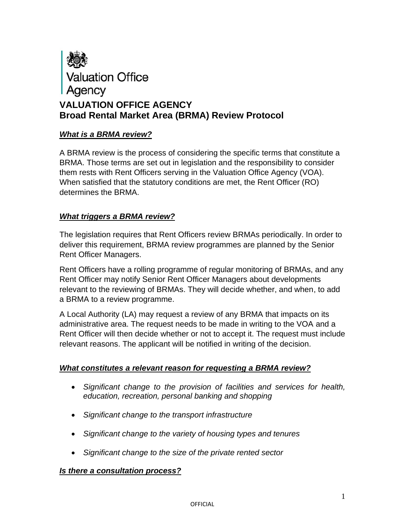

### *What is a BRMA review?*

A BRMA review is the process of considering the specific terms that constitute a BRMA. Those terms are set out in legislation and the responsibility to consider them rests with Rent Officers serving in the Valuation Office Agency (VOA). When satisfied that the statutory conditions are met, the Rent Officer (RO) determines the BRMA.

### *What triggers a BRMA review?*

The legislation requires that Rent Officers review BRMAs periodically. In order to deliver this requirement, BRMA review programmes are planned by the Senior Rent Officer Managers.

Rent Officers have a rolling programme of regular monitoring of BRMAs, and any Rent Officer may notify Senior Rent Officer Managers about developments relevant to the reviewing of BRMAs. They will decide whether, and when, to add a BRMA to a review programme.

A Local Authority (LA) may request a review of any BRMA that impacts on its administrative area. The request needs to be made in writing to the VOA and a Rent Officer will then decide whether or not to accept it. The request must include relevant reasons. The applicant will be notified in writing of the decision.

### *What constitutes a relevant reason for requesting a BRMA review?*

- *Significant change to the provision of facilities and services for health, education, recreation, personal banking and shopping*
- *Significant change to the transport infrastructure*
- *Significant change to the variety of housing types and tenures*
- *Significant change to the size of the private rented sector*

### *Is there a consultation process?*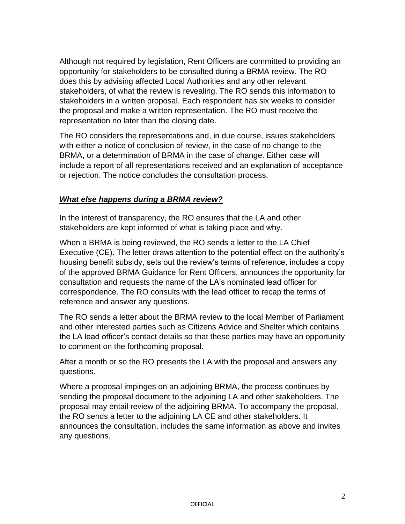Although not required by legislation, Rent Officers are committed to providing an opportunity for stakeholders to be consulted during a BRMA review. The RO does this by advising affected Local Authorities and any other relevant stakeholders, of what the review is revealing. The RO sends this information to stakeholders in a written proposal. Each respondent has six weeks to consider the proposal and make a written representation. The RO must receive the representation no later than the closing date.

The RO considers the representations and, in due course, issues stakeholders with either a notice of conclusion of review, in the case of no change to the BRMA, or a determination of BRMA in the case of change. Either case will include a report of all representations received and an explanation of acceptance or rejection. The notice concludes the consultation process.

# *What else happens during a BRMA review?*

In the interest of transparency, the RO ensures that the LA and other stakeholders are kept informed of what is taking place and why.

When a BRMA is being reviewed, the RO sends a letter to the LA Chief Executive (CE). The letter draws attention to the potential effect on the authority's housing benefit subsidy, sets out the review's terms of reference, includes a copy of the approved BRMA Guidance for Rent Officers, announces the opportunity for consultation and requests the name of the LA's nominated lead officer for correspondence. The RO consults with the lead officer to recap the terms of reference and answer any questions.

The RO sends a letter about the BRMA review to the local Member of Parliament and other interested parties such as Citizens Advice and Shelter which contains the LA lead officer's contact details so that these parties may have an opportunity to comment on the forthcoming proposal.

After a month or so the RO presents the LA with the proposal and answers any questions.

Where a proposal impinges on an adjoining BRMA, the process continues by sending the proposal document to the adjoining LA and other stakeholders. The proposal may entail review of the adjoining BRMA. To accompany the proposal, the RO sends a letter to the adjoining LA CE and other stakeholders. It announces the consultation, includes the same information as above and invites any questions.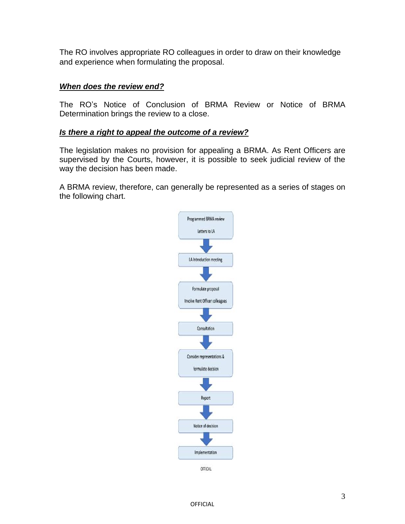The RO involves appropriate RO colleagues in order to draw on their knowledge and experience when formulating the proposal.

## *When does the review end?*

The RO's Notice of Conclusion of BRMA Review or Notice of BRMA Determination brings the review to a close.

### *Is there a right to appeal the outcome of a review?*

The legislation makes no provision for appealing a BRMA. As Rent Officers are supervised by the Courts, however, it is possible to seek judicial review of the way the decision has been made.

A BRMA review, therefore, can generally be represented as a series of stages on the following chart.

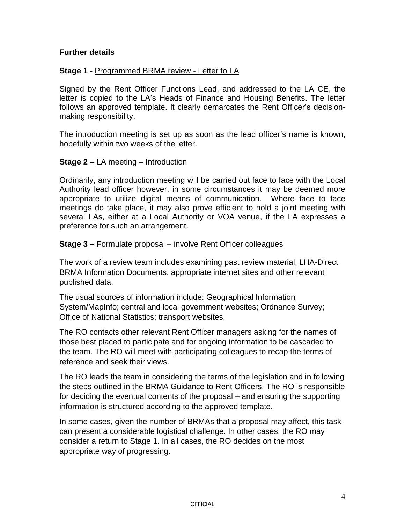## **Further details**

## **Stage 1 -** Programmed BRMA review - Letter to LA

Signed by the Rent Officer Functions Lead, and addressed to the LA CE, the letter is copied to the LA's Heads of Finance and Housing Benefits. The letter follows an approved template. It clearly demarcates the Rent Officer's decisionmaking responsibility.

The introduction meeting is set up as soon as the lead officer's name is known, hopefully within two weeks of the letter.

### **Stage 2 –** LA meeting – Introduction

Ordinarily, any introduction meeting will be carried out face to face with the Local Authority lead officer however, in some circumstances it may be deemed more appropriate to utilize digital means of communication. Where face to face meetings do take place, it may also prove efficient to hold a joint meeting with several LAs, either at a Local Authority or VOA venue, if the LA expresses a preference for such an arrangement.

#### **Stage 3 –** Formulate proposal – involve Rent Officer colleagues

The work of a review team includes examining past review material, LHA-Direct BRMA Information Documents, appropriate internet sites and other relevant published data.

The usual sources of information include: Geographical Information System/MapInfo; central and local government websites; Ordnance Survey; Office of National Statistics; transport websites.

The RO contacts other relevant Rent Officer managers asking for the names of those best placed to participate and for ongoing information to be cascaded to the team. The RO will meet with participating colleagues to recap the terms of reference and seek their views.

The RO leads the team in considering the terms of the legislation and in following the steps outlined in the BRMA Guidance to Rent Officers. The RO is responsible for deciding the eventual contents of the proposal – and ensuring the supporting information is structured according to the approved template.

In some cases, given the number of BRMAs that a proposal may affect, this task can present a considerable logistical challenge. In other cases, the RO may consider a return to Stage 1. In all cases, the RO decides on the most appropriate way of progressing.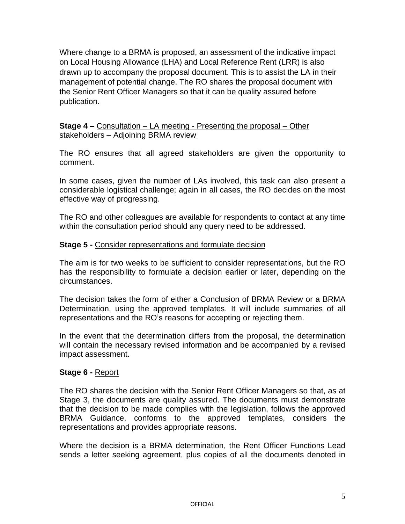Where change to a BRMA is proposed, an assessment of the indicative impact on Local Housing Allowance (LHA) and Local Reference Rent (LRR) is also drawn up to accompany the proposal document. This is to assist the LA in their management of potential change. The RO shares the proposal document with the Senior Rent Officer Managers so that it can be quality assured before publication.

### **Stage 4 –** Consultation – LA meeting - Presenting the proposal – Other stakeholders – Adjoining BRMA review

The RO ensures that all agreed stakeholders are given the opportunity to comment.

In some cases, given the number of LAs involved, this task can also present a considerable logistical challenge; again in all cases, the RO decides on the most effective way of progressing.

The RO and other colleagues are available for respondents to contact at any time within the consultation period should any query need to be addressed.

### **Stage 5 -** Consider representations and formulate decision

The aim is for two weeks to be sufficient to consider representations, but the RO has the responsibility to formulate a decision earlier or later, depending on the circumstances.

The decision takes the form of either a Conclusion of BRMA Review or a BRMA Determination, using the approved templates. It will include summaries of all representations and the RO's reasons for accepting or rejecting them.

In the event that the determination differs from the proposal, the determination will contain the necessary revised information and be accompanied by a revised impact assessment.

### **Stage 6 -** Report

The RO shares the decision with the Senior Rent Officer Managers so that, as at Stage 3, the documents are quality assured. The documents must demonstrate that the decision to be made complies with the legislation, follows the approved BRMA Guidance, conforms to the approved templates, considers the representations and provides appropriate reasons.

Where the decision is a BRMA determination, the Rent Officer Functions Lead sends a letter seeking agreement, plus copies of all the documents denoted in